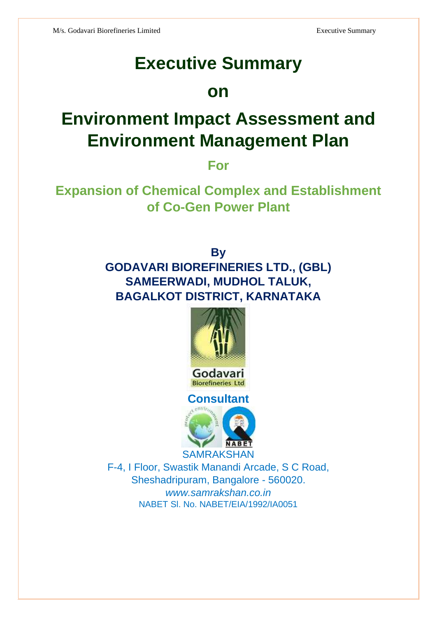# **Executive Summary**

# **on**

# **Environment Impact Assessment and Environment Management Plan**

**For**

**Expansion of Chemical Complex and Establishment of Co-Gen Power Plant** 

> **By GODAVARI BIOREFINERIES LTD., (GBL) SAMEERWADI, MUDHOL TALUK, BAGALKOT DISTRICT, KARNATAKA**



**Biorefineries Ltd Consultant**



F-4, I Floor, Swastik Manandi Arcade, S C Road, Sheshadripuram, Bangalore - 560020. *www.samrakshan.co.in* NABET Sl. No. NABET/EIA/1992/IA0051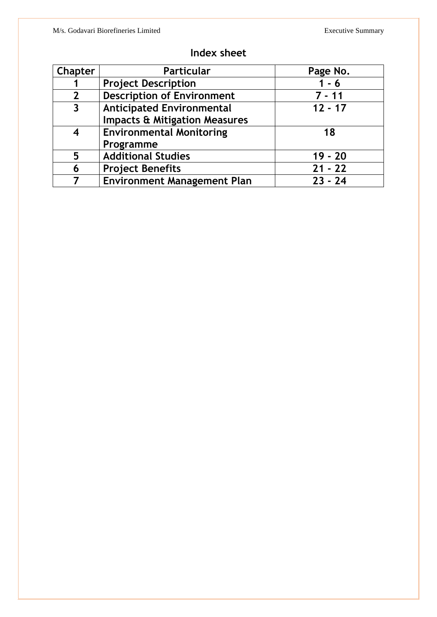| <b>Chapter</b>          | <b>Particular</b>                        | Page No.  |
|-------------------------|------------------------------------------|-----------|
|                         | <b>Project Description</b>               | $1 - 6$   |
| $\overline{2}$          | <b>Description of Environment</b>        | $7 - 11$  |
| $\overline{\mathbf{3}}$ | <b>Anticipated Environmental</b>         | $12 - 17$ |
|                         | <b>Impacts &amp; Mitigation Measures</b> |           |
| 4                       | <b>Environmental Monitoring</b>          | 18        |
|                         | Programme                                |           |
| 5                       | <b>Additional Studies</b>                | $19 - 20$ |
| 6                       | <b>Project Benefits</b>                  | $21 - 22$ |
|                         | <b>Environment Management Plan</b>       | $23 - 24$ |

### **Index sheet**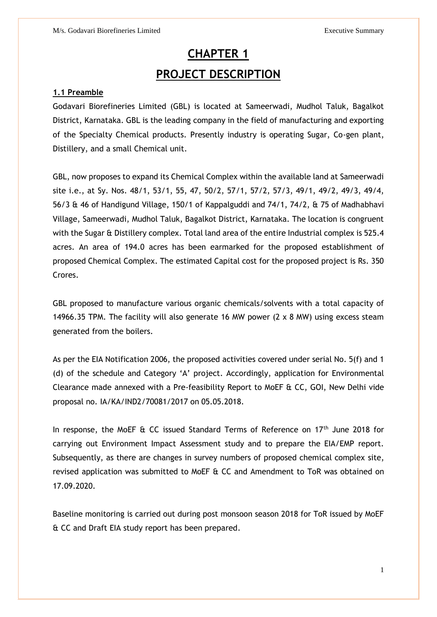## **CHAPTER 1 PROJECT DESCRIPTION**

#### **1.1 Preamble**

Godavari Biorefineries Limited (GBL) is located at Sameerwadi, Mudhol Taluk, Bagalkot District, Karnataka. GBL is the leading company in the field of manufacturing and exporting of the Specialty Chemical products. Presently industry is operating Sugar, Co-gen plant, Distillery, and a small Chemical unit.

GBL, now proposes to expand its Chemical Complex within the available land at Sameerwadi site i.e., at Sy. Nos. 48/1, 53/1, 55, 47, 50/2, 57/1, 57/2, 57/3, 49/1, 49/2, 49/3, 49/4, 56/3 & 46 of Handigund Village, 150/1 of Kappalguddi and 74/1, 74/2, & 75 of Madhabhavi Village, Sameerwadi, Mudhol Taluk, Bagalkot District, Karnataka. The location is congruent with the Sugar & Distillery complex. Total land area of the entire Industrial complex is 525.4 acres. An area of 194.0 acres has been earmarked for the proposed establishment of proposed Chemical Complex. The estimated Capital cost for the proposed project is Rs. 350 Crores.

GBL proposed to manufacture various organic chemicals/solvents with a total capacity of 14966.35 TPM. The facility will also generate 16 MW power (2 x 8 MW) using excess steam generated from the boilers.

As per the EIA Notification 2006, the proposed activities covered under serial No. 5(f) and 1 (d) of the schedule and Category 'A' project. Accordingly, application for Environmental Clearance made annexed with a Pre-feasibility Report to MoEF & CC, GOI, New Delhi vide proposal no. IA/KA/IND2/70081/2017 on 05.05.2018.

In response, the MoEF & CC issued Standard Terms of Reference on 17<sup>th</sup> June 2018 for carrying out Environment Impact Assessment study and to prepare the EIA/EMP report. Subsequently, as there are changes in survey numbers of proposed chemical complex site, revised application was submitted to MoEF & CC and Amendment to ToR was obtained on 17.09.2020.

Baseline monitoring is carried out during post monsoon season 2018 for ToR issued by MoEF & CC and Draft EIA study report has been prepared.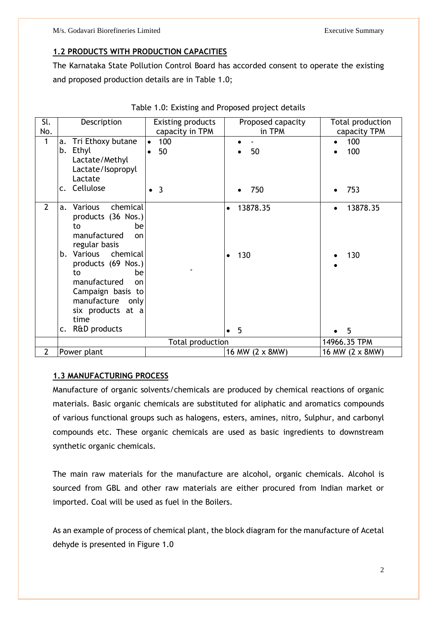### **1.2 PRODUCTS WITH PRODUCTION CAPACITIES**

The Karnataka State Pollution Control Board has accorded consent to operate the existing and proposed production details are in Table 1.0;

| Sl.<br>No.     | Description                                                                                                                                                                                                                                                   | <b>Existing products</b>                                    | Proposed capacity<br>in TPM               | Total production                               |
|----------------|---------------------------------------------------------------------------------------------------------------------------------------------------------------------------------------------------------------------------------------------------------------|-------------------------------------------------------------|-------------------------------------------|------------------------------------------------|
| 1              | Tri Ethoxy butane<br>a.<br>b.<br>Ethyl<br>Lactate/Methyl<br>Lactate/Isopropyl<br>Lactate<br>Cellulose<br>$\mathsf{C}$ .                                                                                                                                       | capacity in TPM<br>100<br>$\bullet$<br>50<br>$\bullet$<br>3 | 50<br>750                                 | capacity TPM<br>100<br>100<br>753<br>$\bullet$ |
|                |                                                                                                                                                                                                                                                               |                                                             |                                           |                                                |
| $\overline{2}$ | chemical<br>Various<br>a.<br>products (36 Nos.)<br>to<br>be<br>manufactured<br>on<br>regular basis<br>Various<br>chemical<br>b.<br>products (69 Nos.)<br>to<br>be<br>manufactured<br>on<br>Campaign basis to<br>manufacture only<br>six products at a<br>time |                                                             | 13878.35<br>$\bullet$<br>130<br>$\bullet$ | 13878.35<br>$\bullet$<br>130                   |
|                | R&D products<br>$\mathsf{C}$ .                                                                                                                                                                                                                                |                                                             | 5<br>$\bullet$                            | 5                                              |
|                |                                                                                                                                                                                                                                                               | <b>Total production</b>                                     |                                           | 14966.35 TPM                                   |
| $\overline{2}$ | Power plant                                                                                                                                                                                                                                                   |                                                             | 16 MW (2 x 8MW)                           | 16 MW (2 x 8MW)                                |

| Table 1.0: Existing and Proposed project details |  |  |  |  |  |
|--------------------------------------------------|--|--|--|--|--|
|--------------------------------------------------|--|--|--|--|--|

### **1.3 MANUFACTURING PROCESS**

Manufacture of organic solvents/chemicals are produced by chemical reactions of organic materials. Basic organic chemicals are substituted for aliphatic and aromatics compounds of various functional groups such as halogens, esters, amines, nitro, Sulphur, and carbonyl compounds etc. These organic chemicals are used as basic ingredients to downstream synthetic organic chemicals.

The main raw materials for the manufacture are alcohol, organic chemicals. Alcohol is sourced from GBL and other raw materials are either procured from Indian market or imported. Coal will be used as fuel in the Boilers.

As an example of process of chemical plant, the block diagram for the manufacture of Acetal dehyde is presented in Figure 1.0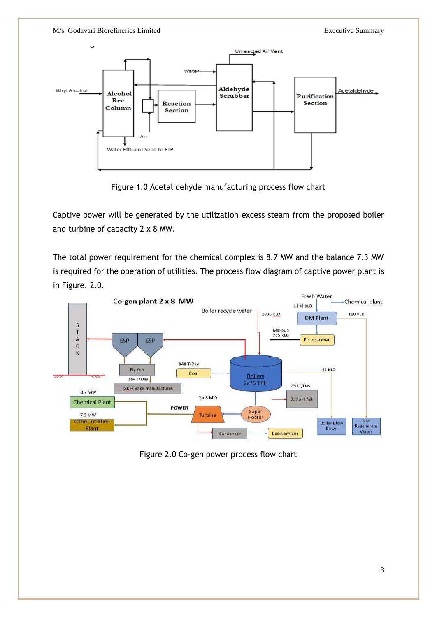

Figure 1.0 Acetal dehyde manufacturing process flow chart

Captive power will be generated by the utilization excess steam from the proposed boiler and turbine of capacity 2 x 8 MW.

The total power requirement for the chemical complex is 8.7 MW and the balance 7.3 MW is required for the operation of utilities. The process flow diagram of captive power plant is in Figure. 2.0.



Figure 2.0 Co-gen power process flow chart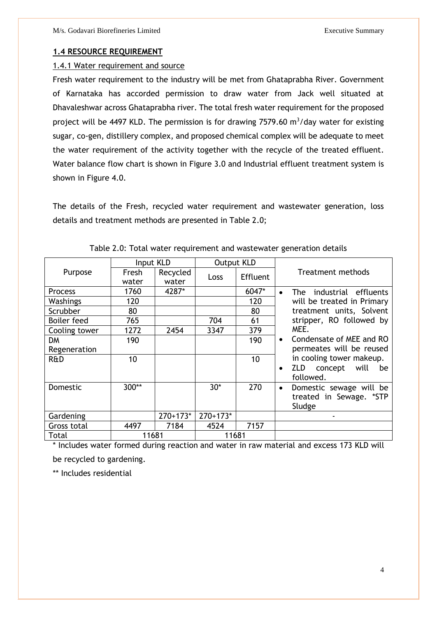### **1.4 RESOURCE REQUIREMENT**

### 1.4.1 Water requirement and source

Fresh water requirement to the industry will be met from Ghataprabha River. Government of Karnataka has accorded permission to draw water from Jack well situated at Dhavaleshwar across Ghataprabha river. The total fresh water requirement for the proposed project will be 4497 KLD. The permission is for drawing 7579.60  $m^3$ /day water for existing sugar, co-gen, distillery complex, and proposed chemical complex will be adequate to meet the water requirement of the activity together with the recycle of the treated effluent. Water balance flow chart is shown in Figure 3.0 and Industrial effluent treatment system is shown in Figure 4.0.

The details of the Fresh, recycled water requirement and wastewater generation, loss details and treatment methods are presented in Table 2.0;

|                | Input KLD |            | <b>Output KLD</b> |                 |                                          |  |
|----------------|-----------|------------|-------------------|-----------------|------------------------------------------|--|
| Purpose        | Fresh     | Recycled   | Loss              | <b>Effluent</b> | Treatment methods                        |  |
|                | water     | water      |                   |                 |                                          |  |
| <b>Process</b> | 1760      | 4287*      |                   | 6047*           | industrial effluents<br>The<br>$\bullet$ |  |
| Washings       | 120       |            |                   | 120             | will be treated in Primary               |  |
| Scrubber       | 80        |            |                   | 80              | treatment units, Solvent                 |  |
| Boiler feed    | 765       |            | 704               | 61              | stripper, RO followed by                 |  |
| Cooling tower  | 1272      | 2454       | 3347              | 379             | MEE.                                     |  |
| DM             | 190       |            |                   | 190             | Condensate of MEE and RO<br>$\bullet$    |  |
| Regeneration   |           |            |                   |                 | permeates will be reused                 |  |
| R&D            | 10        |            |                   | 10              | in cooling tower makeup.                 |  |
|                |           |            |                   |                 | ZLD.<br>concept will<br>be               |  |
|                |           |            |                   |                 | followed.                                |  |
| Domestic       | 300**     |            | $30*$             | 270             | Domestic sewage will be                  |  |
|                |           |            |                   |                 | treated in Sewage. *STP                  |  |
|                |           |            |                   |                 | Sludge                                   |  |
| Gardening      |           | $270+173*$ | $270+173*$        |                 |                                          |  |
| Gross total    | 4497      | 7184       | 4524              | 7157            |                                          |  |
| Total          | 11681     |            | 11681             |                 |                                          |  |

|  | Table 2.0: Total water requirement and wastewater generation details |  |
|--|----------------------------------------------------------------------|--|
|  |                                                                      |  |

\* Includes water formed during reaction and water in raw material and excess 173 KLD will

be recycled to gardening.

\*\* Includes residential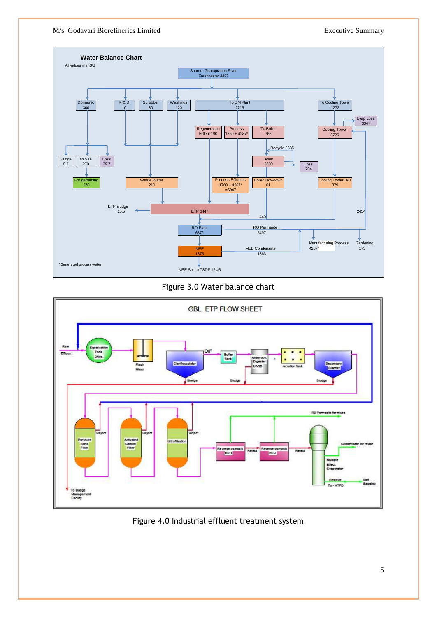M/s. Godavari Biorefineries Limited Executive Summary



### Figure 3.0 Water balance chart



Figure 4.0 Industrial effluent treatment system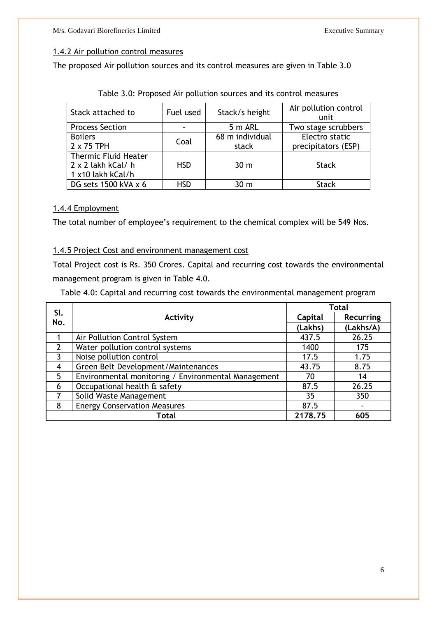### 1.4.2 Air pollution control measures

The proposed Air pollution sources and its control measures are given in Table 3.0

| Stack attached to           | Fuel used  | Stack/s height  | Air pollution control<br>unit |
|-----------------------------|------------|-----------------|-------------------------------|
| <b>Process Section</b>      |            | 5 m ARL         | Two stage scrubbers           |
| <b>Boilers</b>              | Coal       | 68 m individual | Electro static                |
| $2 \times 75$ TPH           |            | stack           | precipitators (ESP)           |
| <b>Thermic Fluid Heater</b> |            |                 |                               |
| $2 \times 2$ lakh kCal/h    | <b>HSD</b> | 30 <sub>m</sub> | <b>Stack</b>                  |
| 1 x10 lakh kCal/h           |            |                 |                               |
| DG sets $1500$ kVA x 6      | HSD        | 30 m            | <b>Stack</b>                  |

Table 3.0: Proposed Air pollution sources and its control measures

### 1.4.4 Employment

The total number of employee's requirement to the chemical complex will be 549 Nos.

### 1.4.5 Project Cost and environment management cost

Total Project cost is Rs. 350 Crores. Capital and recurring cost towards the environmental management program is given in Table 4.0.

Table 4.0: Capital and recurring cost towards the environmental management program

|     | SI.                                                 |         | Total     |
|-----|-----------------------------------------------------|---------|-----------|
| No. | Activity                                            | Capital | Recurring |
|     |                                                     | (Lakhs) | (Lakhs/A) |
|     | Air Pollution Control System                        | 437.5   | 26.25     |
|     | Water pollution control systems                     | 1400    | 175       |
| 3   | Noise pollution control                             | 17.5    | 1.75      |
| 4   | Green Belt Development/Maintenances                 | 43.75   | 8.75      |
| 5   | Environmental monitoring / Environmental Management | 70      | 14        |
| 6   | Occupational health & safety                        | 87.5    | 26.25     |
| 7   | Solid Waste Management                              | 35      | 350       |
| 8   | <b>Energy Conservation Measures</b>                 | 87.5    |           |
|     | Total                                               | 2178.75 | 605       |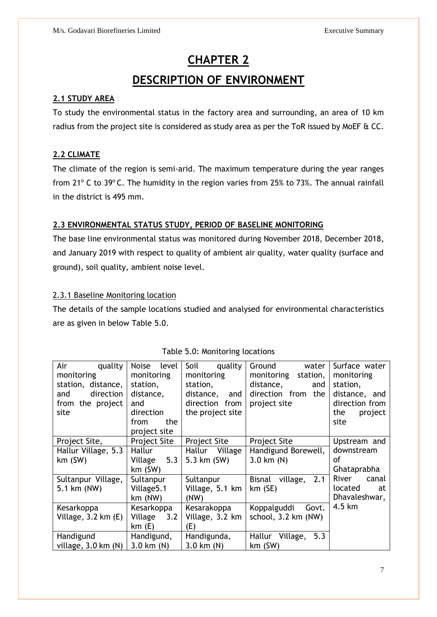### **CHAPTER 2**

### **DESCRIPTION OF ENVIRONMENT**

### **2.1 STUDY AREA**

To study the environmental status in the factory area and surrounding, an area of 10 km radius from the project site is considered as study area as per the ToR issued by MoEF & CC.

### **2.2 CLIMATE**

The climate of the region is semi-arid. The maximum temperature during the year ranges from 21 $^{\circ}$  C to 39 $^{\circ}$  C. The humidity in the region varies from 25% to 73%. The annual rainfall in the district is 495 mm.

### **2.3 ENVIRONMENTAL STATUS STUDY, PERIOD OF BASELINE MONITORING**

The base line environmental status was monitored during November 2018, December 2018, and January 2019 with respect to quality of ambient air quality, water quality (surface and ground), soil quality, ambient noise level.

### 2.3.1 Baseline Monitoring location

The details of the sample locations studied and analysed for environmental characteristics are as given in below Table 5.0.

| Air<br>quality                | <b>Noise</b><br>level | Soil<br>quality     | Ground<br>water                  | Surface water  |
|-------------------------------|-----------------------|---------------------|----------------------------------|----------------|
| monitoring                    | monitoring            | monitoring          | monitoring<br>station,           | monitoring     |
| station, distance,            | station,              | station,            | distance,<br>and                 | station,       |
| direction<br>and              | distance,             | distance,<br>and    | direction from<br>the            | distance, and  |
| from the project              | and                   | direction from      | project site                     | direction from |
| site                          | direction             | the project site    |                                  | the<br>project |
|                               | the<br>from           |                     |                                  | site           |
|                               | project site          |                     |                                  |                |
| Project Site,                 | <b>Project Site</b>   | <b>Project Site</b> | <b>Project Site</b>              | Upstream and   |
| Hallur Village, 5.3           | Hallur                | Hallur<br>Village   | Handigund Borewell,              | downstream     |
| $km$ (SW)                     | Village 5.3           | 5.3 km (SW)         | $3.0 \text{ km}$ (N)             | οf             |
|                               | $km$ (SW)             |                     |                                  | Ghataprabha    |
| Sultanpur Village,            | Sultanpur             | Sultanpur           | 2.1<br><b>Bisnal</b><br>village, | River<br>canal |
| 5.1 km (NW)                   | Village5.1            | Village, 5.1 km     | $km$ (SE)                        | located<br>at  |
|                               | $km$ (NW)             | (NW)                |                                  | Dhavaleshwar,  |
| Kesarkoppa                    | Kesarkoppa            | Kesarakoppa         | Koppalguddi<br>Govt.             | 4.5 km         |
| Village, $3.2$ km $(E)$       | Village<br>3.2        | Village, 3.2 km     | school, 3.2 km (NW)              |                |
|                               | km(E)                 | (E)                 |                                  |                |
| Handigund                     | Handigund,            | Handigunda,         | 5.3<br>Hallur<br>Village,        |                |
| village, $3.0 \text{ km}$ (N) | $3.0$ km $(N)$        | $3.0$ km $(N)$      | $km$ (SW)                        |                |

#### Table 5.0: Monitoring locations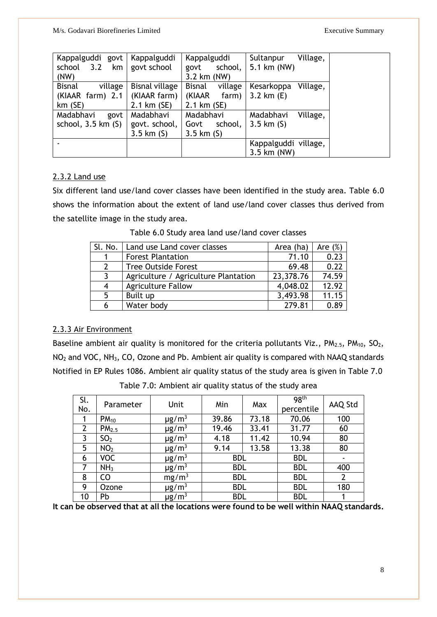M/s. Godavari Biorefineries Limited Executive Summary

| Kappalguddi govt             | Kappalguddi           | Kappalguddi              | Village,<br>Sultanpur  |
|------------------------------|-----------------------|--------------------------|------------------------|
| 3.2<br>school<br>km          | govt school           | school,<br>govt          | 5.1 km (NW)            |
| (NW)                         |                       | 3.2 km (NW)              |                        |
| <b>Bisnal</b><br>village     | <b>Bisnal village</b> | <b>Bisnal</b><br>village | Village,<br>Kesarkoppa |
| (KIAAR farm) 2.1             | (KIAAR farm)          | (KIAAR<br>farm)          | 3.2 km $(E)$           |
| $km$ (SE)                    | $2.1 \text{ km} (SE)$ | 2.1 km (SE)              |                        |
| Madabhavi<br>govt            | Madabhavi             | Madabhavi                | Madabhavi<br>Village,  |
| school, $3.5 \text{ km}$ (S) | govt. school,         | school,<br>Govt          | 3.5 km $(S)$           |
|                              | $3.5 \; km (S)$       | 3.5 km $(S)$             |                        |
|                              |                       |                          | Kappalguddi village,   |
|                              |                       |                          | 3.5 km (NW)            |

### 2.3.2 Land use

Six different land use/land cover classes have been identified in the study area. Table 6.0 shows the information about the extent of land use/land cover classes thus derived from the satellite image in the study area.

| Sl. No.      | Land use Land cover classes          | Area (ha) | Are $(\%)$ |
|--------------|--------------------------------------|-----------|------------|
| 1            | <b>Forest Plantation</b>             | 71.10     | 0.23       |
| $\mathbf{2}$ | <b>Tree Outside Forest</b>           | 69.48     | 0.22       |
| 3            | Agriculture / Agriculture Plantation | 23,378.76 | 74.59      |
| 4            | <b>Agriculture Fallow</b>            | 4,048.02  | 12.92      |
| 5            | Built up                             | 3,493.98  | 11.15      |
| 6            | Water body                           | 279.81    | 0.89       |

Table 6.0 Study area land use/land cover classes

### 2.3.3 Air Environment

Baseline ambient air quality is monitored for the criteria pollutants Viz.,  $PM_{2.5}$ ,  $PM_{10}$ ,  $SO_2$ , NO<sup>2</sup> and VOC, NH3, CO, Ozone and Pb. Ambient air quality is compared with NAAQ standards Notified in EP Rules 1086. Ambient air quality status of the study area is given in Table 7.0

| Sl.<br>No.     | Parameter         | Unit                   | Min        | Max   | 98 <sup>th</sup><br>percentile | AAQ Std |
|----------------|-------------------|------------------------|------------|-------|--------------------------------|---------|
|                | $PM_{10}$         | $\mu$ g/m <sup>3</sup> | 39.86      | 73.18 | 70.06                          | 100     |
| $\overline{2}$ | PM <sub>2.5</sub> | $\mu$ g/m <sup>3</sup> | 19.46      | 33.41 | 31.77                          | 60      |
| 3              | SO <sub>2</sub>   | $\mu$ g/m <sup>3</sup> | 4.18       | 11.42 | 10.94                          | 80      |
| 5              | NO <sub>2</sub>   | $\mu$ g/m <sup>3</sup> | 9.14       | 13.58 | 13.38                          | 80      |
| 6              | <b>VOC</b>        | $\mu$ g/m <sup>3</sup> | <b>BDL</b> |       | <b>BDL</b>                     |         |
| 7              | NH <sub>3</sub>   | $\mu$ g/m <sup>3</sup> | <b>BDL</b> |       | <b>BDL</b>                     | 400     |
| 8              | C <sub>O</sub>    | mg/m <sup>3</sup>      | <b>BDL</b> |       | <b>BDL</b>                     |         |
| 9              | Ozone             | $\mu$ g/m <sup>3</sup> | <b>BDL</b> |       | <b>BDL</b>                     | 180     |
| 10             | Pb                | $\mu$ g/m $^3$         | <b>BDL</b> |       | <b>BDL</b>                     |         |

Table 7.0: Ambient air quality status of the study area

**It can be observed that at all the locations were found to be well within NAAQ standards.**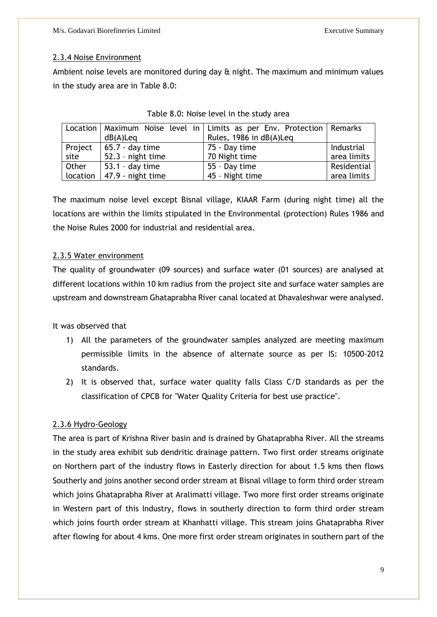### 2.3.4 Noise Environment

Ambient noise levels are monitored during day & night. The maximum and minimum values in the study area are in Table 8.0:

|       |                              | Location   Maximum Noise level in   Limits as per Env. Protection   Remarks |             |
|-------|------------------------------|-----------------------------------------------------------------------------|-------------|
|       | dB(A)Leq                     | Rules, 1986 in dB(A)Leq                                                     |             |
|       | Project   $65.7 - day$ time  | $ 75 - Day$ time                                                            | Industrial  |
| site  | $52.3$ - night time          | 70 Night time                                                               | area limits |
| Other | $ 53.1 - day time$           | 55 - Day time                                                               | Residential |
|       | location   47.9 - night time | 45 - Night time                                                             | area limits |

| Table 8.0: Noise level in the study area |  |  |  |  |  |  |
|------------------------------------------|--|--|--|--|--|--|
|------------------------------------------|--|--|--|--|--|--|

The maximum noise level except Bisnal village, KIAAR Farm (during night time) all the locations are within the limits stipulated in the Environmental (protection) Rules 1986 and the Noise Rules 2000 for industrial and residential area.

### 2.3.5 Water environment

The quality of groundwater (09 sources) and surface water (01 sources) are analysed at different locations within 10 km radius from the project site and surface water samples are upstream and downstream Ghataprabha River canal located at Dhavaleshwar were analysed.

It was observed that

- 1) All the parameters of the groundwater samples analyzed are meeting maximum permissible limits in the absence of alternate source as per IS: 10500-2012 standards.
- 2) It is observed that, surface water quality falls Class C/D standards as per the classification of CPCB for "Water Quality Criteria for best use practice".

### 2.3.6 Hydro-Geology

The area is part of Krishna River basin and is drained by Ghataprabha River. All the streams in the study area exhibit sub dendritic drainage pattern. Two first order streams originate on Northern part of the industry flows in Easterly direction for about 1.5 kms then flows Southerly and joins another second order stream at Bisnal village to form third order stream which joins Ghataprabha River at Aralimatti village. Two more first order streams originate in Western part of this Industry, flows in southerly direction to form third order stream which joins fourth order stream at Khanhatti village. This stream joins Ghataprabha River after flowing for about 4 kms. One more first order stream originates in southern part of the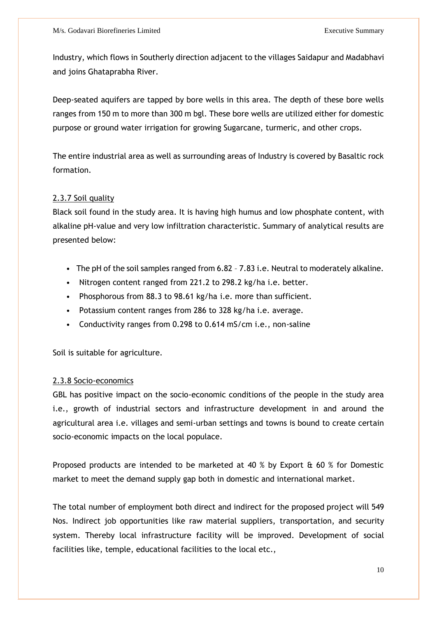Industry, which flows in Southerly direction adjacent to the villages Saidapur and Madabhavi and joins Ghataprabha River.

Deep-seated aquifers are tapped by bore wells in this area. The depth of these bore wells ranges from 150 m to more than 300 m bgl. These bore wells are utilized either for domestic purpose or ground water irrigation for growing Sugarcane, turmeric, and other crops.

The entire industrial area as well as surrounding areas of Industry is covered by Basaltic rock formation.

### 2.3.7 Soil quality

Black soil found in the study area. It is having high humus and low phosphate content, with alkaline pH-value and very low infiltration characteristic. Summary of analytical results are presented below:

- The pH of the soil samples ranged from 6.82 7.83 i.e. Neutral to moderately alkaline.
- Nitrogen content ranged from 221.2 to 298.2 kg/ha i.e. better.
- Phosphorous from 88.3 to 98.61 kg/ha i.e. more than sufficient.
- Potassium content ranges from 286 to 328 kg/ha i.e. average.
- Conductivity ranges from 0.298 to 0.614 mS/cm i.e., non-saline

Soil is suitable for agriculture.

### 2.3.8 Socio-economics

GBL has positive impact on the socio-economic conditions of the people in the study area i.e., growth of industrial sectors and infrastructure development in and around the agricultural area i.e. villages and semi-urban settings and towns is bound to create certain socio-economic impacts on the local populace.

Proposed products are intended to be marketed at 40 % by Export & 60 % for Domestic market to meet the demand supply gap both in domestic and international market.

The total number of employment both direct and indirect for the proposed project will 549 Nos. Indirect job opportunities like raw material suppliers, transportation, and security system. Thereby local infrastructure facility will be improved. Development of social facilities like, temple, educational facilities to the local etc.,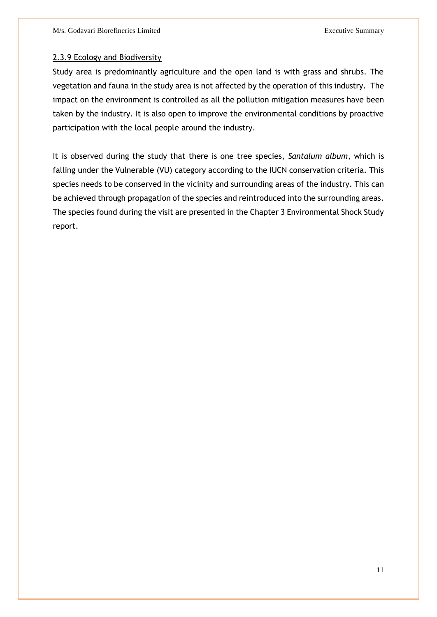### 2.3.9 Ecology and Biodiversity

Study area is predominantly agriculture and the open land is with grass and shrubs. The vegetation and fauna in the study area is not affected by the operation of this industry. The impact on the environment is controlled as all the pollution mitigation measures have been taken by the industry. It is also open to improve the environmental conditions by proactive participation with the local people around the industry.

It is observed during the study that there is one tree species, *Santalum album*, which is falling under the Vulnerable (VU) category according to the IUCN conservation criteria. This species needs to be conserved in the vicinity and surrounding areas of the industry. This can be achieved through propagation of the species and reintroduced into the surrounding areas. The species found during the visit are presented in the Chapter 3 Environmental Shock Study report.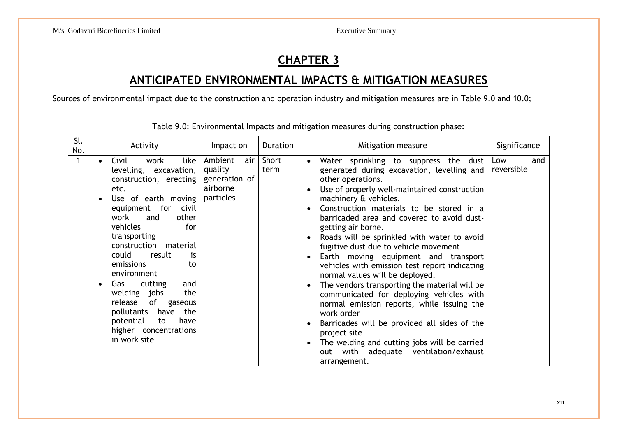### **CHAPTER 3**

### **ANTICIPATED ENVIRONMENTAL IMPACTS & MITIGATION MEASURES**

Sources of environmental impact due to the construction and operation industry and mitigation measures are in Table 9.0 and 10.0;

| Sl.<br>No. | Activity                                                                                                                                                                                                                                                                                                                                                                                                                                                                                                          | Impact on                                                                                       | Duration      | Mitigation measure                                                                                                                                                                                                                                                                                                                                                                                                                                                                                                                                                                                                                                                                                                                                                                                                                                                   | Significance             |
|------------|-------------------------------------------------------------------------------------------------------------------------------------------------------------------------------------------------------------------------------------------------------------------------------------------------------------------------------------------------------------------------------------------------------------------------------------------------------------------------------------------------------------------|-------------------------------------------------------------------------------------------------|---------------|----------------------------------------------------------------------------------------------------------------------------------------------------------------------------------------------------------------------------------------------------------------------------------------------------------------------------------------------------------------------------------------------------------------------------------------------------------------------------------------------------------------------------------------------------------------------------------------------------------------------------------------------------------------------------------------------------------------------------------------------------------------------------------------------------------------------------------------------------------------------|--------------------------|
|            | like<br>Civil<br>work<br>$\bullet$<br>levelling, excavation,<br>construction, erecting<br>etc.<br>Use of earth moving<br>$\bullet$<br>equipment for<br>civil<br>work<br>other<br>and<br>for<br>vehicles<br>transporting<br>construction material<br>could<br>result<br>is<br>emissions<br>to<br>environment<br>cutting<br>Gas<br>and<br>$\bullet$<br>welding jobs<br>the<br>$\sim$ $ \sim$<br>of gaseous<br>release<br>pollutants have<br>the<br>potential<br>to<br>have<br>higher concentrations<br>in work site | Ambient<br>air<br>quality<br>$\overline{\phantom{a}}$<br>generation of<br>airborne<br>particles | Short<br>term | Water sprinkling to suppress the dust<br>$\bullet$<br>generated during excavation, levelling and<br>other operations.<br>Use of properly well-maintained construction<br>machinery & vehicles.<br>Construction materials to be stored in a<br>barricaded area and covered to avoid dust-<br>getting air borne.<br>Roads will be sprinkled with water to avoid<br>fugitive dust due to vehicle movement<br>Earth moving equipment and transport<br>vehicles with emission test report indicating<br>normal values will be deployed.<br>The vendors transporting the material will be<br>communicated for deploying vehicles with<br>normal emission reports, while issuing the<br>work order<br>Barricades will be provided all sides of the<br>project site<br>The welding and cutting jobs will be carried<br>out with adequate ventilation/exhaust<br>arrangement. | Low<br>and<br>reversible |

Table 9.0: Environmental Impacts and mitigation measures during construction phase: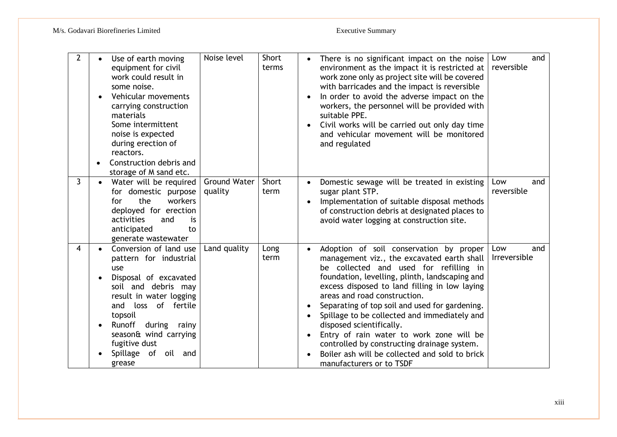| $\overline{2}$ | Use of earth moving<br>equipment for civil<br>work could result in<br>some noise.<br>Vehicular movements<br>carrying construction<br>materials<br>Some intermittent<br>noise is expected<br>during erection of<br>reactors.<br>Construction debris and<br>storage of M sand etc. | Noise level                    | Short<br>terms |           | There is no significant impact on the noise<br>environment as the impact it is restricted at<br>work zone only as project site will be covered<br>with barricades and the impact is reversible<br>In order to avoid the adverse impact on the<br>workers, the personnel will be provided with<br>suitable PPE.<br>Civil works will be carried out only day time<br>and vehicular movement will be monitored<br>and regulated                                                                                                                                              | and<br>Low<br>reversible   |
|----------------|----------------------------------------------------------------------------------------------------------------------------------------------------------------------------------------------------------------------------------------------------------------------------------|--------------------------------|----------------|-----------|---------------------------------------------------------------------------------------------------------------------------------------------------------------------------------------------------------------------------------------------------------------------------------------------------------------------------------------------------------------------------------------------------------------------------------------------------------------------------------------------------------------------------------------------------------------------------|----------------------------|
| 3              | Water will be required<br>for domestic purpose<br>the<br>workers<br>for<br>deployed for erection<br>activities<br>and<br>is<br>anticipated<br>to<br>generate wastewater                                                                                                          | <b>Ground Water</b><br>quality | Short<br>term  | $\bullet$ | Domestic sewage will be treated in existing<br>sugar plant STP.<br>Implementation of suitable disposal methods<br>of construction debris at designated places to<br>avoid water logging at construction site.                                                                                                                                                                                                                                                                                                                                                             | and<br>Low<br>reversible   |
| 4              | Conversion of land use<br>pattern for industrial<br>use<br>Disposal of excavated<br>soil and debris may<br>result in water logging<br>of fertile<br>and<br>loss<br>topsoil<br>Runoff during rainy<br>season& wind carrying<br>fugitive dust<br>Spillage of<br>oil and<br>grease  | Land quality                   | Long<br>term   | $\bullet$ | Adoption of soil conservation by proper<br>management viz., the excavated earth shall<br>be collected and used for refilling in<br>foundation, levelling, plinth, landscaping and<br>excess disposed to land filling in low laying<br>areas and road construction.<br>Separating of top soil and used for gardening.<br>Spillage to be collected and immediately and<br>disposed scientifically.<br>Entry of rain water to work zone will be<br>controlled by constructing drainage system.<br>Boiler ash will be collected and sold to brick<br>manufacturers or to TSDF | Low<br>and<br>Irreversible |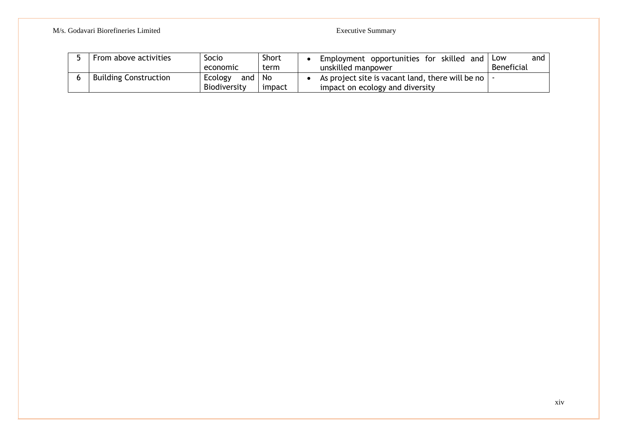### M/s. Godavari Biorefineries Limited Executive Summary

| From above activities        | Socio                          | <b>Short</b>   | Employment opportunities for skilled and Low                                                            |            | and |
|------------------------------|--------------------------------|----------------|---------------------------------------------------------------------------------------------------------|------------|-----|
|                              | economic                       | term           | unskilled manpower                                                                                      | Beneficial |     |
| <b>Building Construction</b> | Ecology<br>and<br>Biodiversity | ∣ No<br>impact | As project site is vacant land, there will be no $\vert \cdot \vert$<br>impact on ecology and diversity |            |     |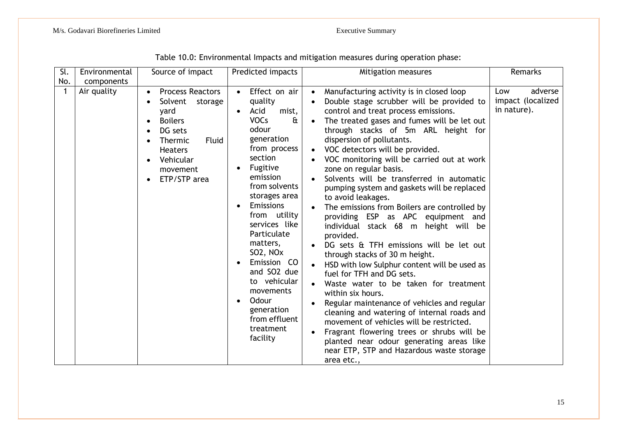| Sl. | Environmental             | Source of impact                                                                                                                                                  | Predicted impacts                                                                                                                                                                                                                                                                                                                                                                                            | Mitigation measures                                                                                                                                                                                                                                                                                                                                                                                                                                                                                                                                                                                                                                                                                                                                                                                                                                                                                                                                                                                                                                                | Remarks                                            |
|-----|---------------------------|-------------------------------------------------------------------------------------------------------------------------------------------------------------------|--------------------------------------------------------------------------------------------------------------------------------------------------------------------------------------------------------------------------------------------------------------------------------------------------------------------------------------------------------------------------------------------------------------|--------------------------------------------------------------------------------------------------------------------------------------------------------------------------------------------------------------------------------------------------------------------------------------------------------------------------------------------------------------------------------------------------------------------------------------------------------------------------------------------------------------------------------------------------------------------------------------------------------------------------------------------------------------------------------------------------------------------------------------------------------------------------------------------------------------------------------------------------------------------------------------------------------------------------------------------------------------------------------------------------------------------------------------------------------------------|----------------------------------------------------|
| No. | components<br>Air quality | <b>Process Reactors</b><br>Solvent<br>storage<br>yard<br><b>Boilers</b><br>DG sets<br>Fluid<br>Thermic<br><b>Heaters</b><br>Vehicular<br>movement<br>ETP/STP area | Effect on air<br>quality<br>Acid<br>mist,<br><b>VOCs</b><br>$\mathbf{a}$<br>odour<br>generation<br>from process<br>section<br>Fugitive<br>emission<br>from solvents<br>storages area<br><b>Emissions</b><br>from utility<br>services like<br>Particulate<br>matters,<br>SO2, NO <sub>x</sub><br>Emission CO<br>and SO2 due<br>to vehicular<br>movements<br>Odour<br>generation<br>from effluent<br>treatment | Manufacturing activity is in closed loop<br>$\bullet$<br>Double stage scrubber will be provided to<br>control and treat process emissions.<br>The treated gases and fumes will be let out<br>through stacks of 5m ARL height for<br>dispersion of pollutants.<br>VOC detectors will be provided.<br>$\bullet$<br>VOC monitoring will be carried out at work<br>zone on regular basis.<br>Solvents will be transferred in automatic<br>pumping system and gaskets will be replaced<br>to avoid leakages.<br>The emissions from Boilers are controlled by<br>providing ESP as APC equipment and<br>individual stack 68 m height will be<br>provided.<br>DG sets & TFH emissions will be let out<br>through stacks of 30 m height.<br>HSD with low Sulphur content will be used as<br>fuel for TFH and DG sets.<br>Waste water to be taken for treatment<br>within six hours.<br>Regular maintenance of vehicles and regular<br>cleaning and watering of internal roads and<br>movement of vehicles will be restricted.<br>Fragrant flowering trees or shrubs will be | adverse<br>Low<br>impact (localized<br>in nature). |
|     |                           |                                                                                                                                                                   | facility                                                                                                                                                                                                                                                                                                                                                                                                     | planted near odour generating areas like<br>near ETP, STP and Hazardous waste storage<br>area etc.,                                                                                                                                                                                                                                                                                                                                                                                                                                                                                                                                                                                                                                                                                                                                                                                                                                                                                                                                                                |                                                    |

Table 10.0: Environmental Impacts and mitigation measures during operation phase: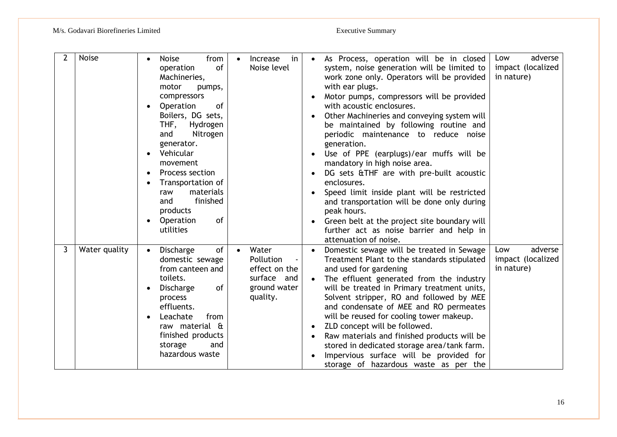| $\overline{2}$ | <b>Noise</b>  | <b>Noise</b><br>from<br>of<br>operation<br>Machineries,<br>motor<br>pumps,<br>compressors<br>Operation<br>of<br>Boilers, DG sets,<br>Hydrogen<br>THF,<br>and<br>Nitrogen<br>generator.<br>Vehicular<br>movement<br>Process section<br>Transportation of<br>materials<br>raw<br>finished<br>and<br>products<br>Operation<br>of<br>utilities | in<br><i><u><b>Increase</b></u></i><br>$\bullet$<br>Noise level                             | As Process, operation will be in closed<br>system, noise generation will be limited to<br>work zone only. Operators will be provided<br>with ear plugs.<br>Motor pumps, compressors will be provided<br>with acoustic enclosures.<br>Other Machineries and conveying system will<br>be maintained by following routine and<br>periodic maintenance to reduce noise<br>generation.<br>Use of PPE (earplugs)/ear muffs will be<br>mandatory in high noise area.<br>DG sets &THF are with pre-built acoustic<br>enclosures.<br>Speed limit inside plant will be restricted<br>and transportation will be done only during<br>peak hours.<br>Green belt at the project site boundary will<br>further act as noise barrier and help in<br>attenuation of noise. | adverse<br>Low<br>impact (localized<br>in nature) |
|----------------|---------------|--------------------------------------------------------------------------------------------------------------------------------------------------------------------------------------------------------------------------------------------------------------------------------------------------------------------------------------------|---------------------------------------------------------------------------------------------|------------------------------------------------------------------------------------------------------------------------------------------------------------------------------------------------------------------------------------------------------------------------------------------------------------------------------------------------------------------------------------------------------------------------------------------------------------------------------------------------------------------------------------------------------------------------------------------------------------------------------------------------------------------------------------------------------------------------------------------------------------|---------------------------------------------------|
| 3              | Water quality | <b>Discharge</b><br>of<br>domestic sewage<br>from canteen and<br>toilets.<br><b>Discharge</b><br>of<br>process<br>effluents.<br>Leachate<br>from<br>raw material &<br>finished products<br>storage<br>and<br>hazardous waste                                                                                                               | Water<br>$\bullet$<br>Pollution<br>effect on the<br>surface and<br>ground water<br>quality. | Domestic sewage will be treated in Sewage<br>Treatment Plant to the standards stipulated<br>and used for gardening<br>The effluent generated from the industry<br>will be treated in Primary treatment units,<br>Solvent stripper, RO and followed by MEE<br>and condensate of MEE and RO permeates<br>will be reused for cooling tower makeup.<br>ZLD concept will be followed.<br>Raw materials and finished products will be<br>stored in dedicated storage area/tank farm.<br>Impervious surface will be provided for<br>storage of hazardous waste as per the                                                                                                                                                                                         | adverse<br>Low<br>impact (localized<br>in nature) |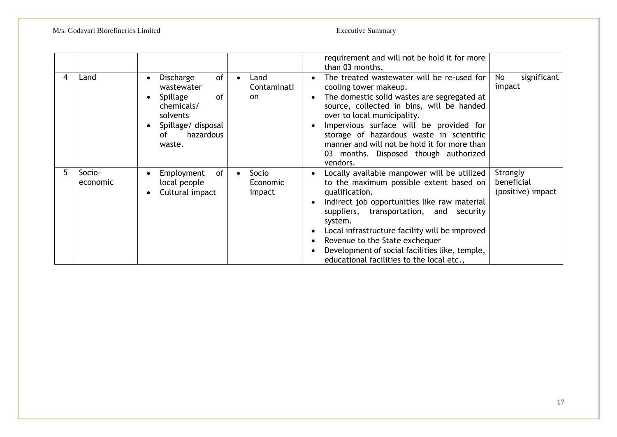|   |                    |                                                                                                                                     |                                          | requirement and will not be hold it for more<br>than 03 months.                                                                                                                                                                                                                                                                                                                                   |                                             |
|---|--------------------|-------------------------------------------------------------------------------------------------------------------------------------|------------------------------------------|---------------------------------------------------------------------------------------------------------------------------------------------------------------------------------------------------------------------------------------------------------------------------------------------------------------------------------------------------------------------------------------------------|---------------------------------------------|
| 4 | Land               | 0f<br>Discharge<br>wastewater<br>of<br><b>Spillage</b><br>chemicals/<br>solvents<br>Spillage/ disposal<br>hazardous<br>οf<br>waste. | Land<br>Contaminati<br>on.               | The treated wastewater will be re-used for<br>cooling tower makeup.<br>The domestic solid wastes are segregated at<br>source, collected in bins, will be handed<br>over to local municipality.<br>Impervious surface will be provided for<br>storage of hazardous waste in scientific<br>manner and will not be hold it for more than<br>03 months. Disposed though authorized<br>vendors.        | significant<br>No<br>impact                 |
| 5 | Socio-<br>economic | of<br>Employment<br>local people<br>Cultural impact                                                                                 | Socio<br>$\bullet$<br>Economic<br>impact | Locally available manpower will be utilized<br>to the maximum possible extent based on<br>qualification.<br>Indirect job opportunities like raw material<br>suppliers, transportation, and security<br>system.<br>Local infrastructure facility will be improved<br>Revenue to the State exchequer<br>Development of social facilities like, temple,<br>educational facilities to the local etc., | Strongly<br>beneficial<br>(positive) impact |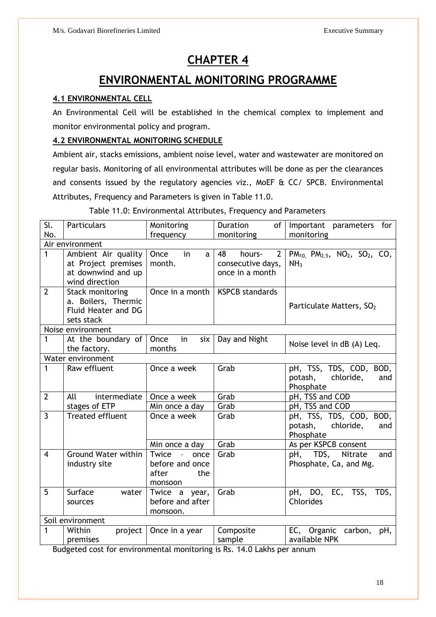### **CHAPTER 4**

### **ENVIRONMENTAL MONITORING PROGRAMME**

### **4.1 ENVIRONMENTAL CELL**

An Environmental Cell will be established in the chemical complex to implement and monitor environmental policy and program.

### **4.2 ENVIRONMENTAL MONITORING SCHEDULE**

Ambient air, stacks emissions, ambient noise level, water and wastewater are monitored on regular basis. Monitoring of all environmental attributes will be done as per the clearances and consents issued by the regulatory agencies viz., MoEF & CC/ SPCB. Environmental Attributes, Frequency and Parameters is given in Table 11.0.

### Table 11.0: Environmental Attributes, Frequency and Parameters

| Sl.            | <b>Particulars</b>                      | Monitoring                        | <b>Duration</b><br>of          | Important parameters<br>for                       |
|----------------|-----------------------------------------|-----------------------------------|--------------------------------|---------------------------------------------------|
| No.            |                                         | frequency                         | monitoring                     | monitoring                                        |
|                | Air environment                         |                                   |                                |                                                   |
| $\overline{1}$ | Ambient Air quality                     | Once<br>in<br>$\mathsf{a}$        | $\overline{2}$<br>48<br>hours- | $PM_{10}$ , $PM_{2.5}$ , $NO_2$ , $SO_2$ , $CO$ , |
|                | at Project premises                     | month.                            | consecutive days,              | NH <sub>3</sub>                                   |
|                | at downwind and up                      |                                   | once in a month                |                                                   |
| $\overline{2}$ | wind direction                          | Once in a month                   | <b>KSPCB standards</b>         |                                                   |
|                | Stack monitoring<br>a. Boilers, Thermic |                                   |                                |                                                   |
|                | Fluid Heater and DG                     |                                   |                                | Particulate Matters, SO <sub>2</sub>              |
|                | sets stack                              |                                   |                                |                                                   |
|                | Noise environment                       |                                   |                                |                                                   |
| $\mathbf{1}$   | At the boundary of                      | Once<br>six<br>in                 | Day and Night                  |                                                   |
|                | the factory.                            | months                            |                                | Noise level in dB (A) Leq.                        |
|                | Water environment                       |                                   |                                |                                                   |
| 1              | Raw effluent                            | Once a week                       | Grab                           | pH, TSS, TDS, COD, BOD,                           |
|                |                                         |                                   |                                | chloride,<br>potash,<br>and                       |
|                |                                         |                                   |                                | Phosphate                                         |
| $\overline{2}$ | All<br>intermediate                     | Once a week                       | Grab                           | pH, TSS and COD                                   |
|                | stages of ETP                           | Min once a day                    | Grab                           | pH, TSS and COD                                   |
| $\overline{3}$ | Treated effluent                        | Once a week                       | Grab                           | pH, TSS, TDS, COD,<br>BOD,                        |
|                |                                         |                                   |                                | potash,<br>chloride,<br>and                       |
|                |                                         |                                   |                                | Phosphate                                         |
|                |                                         | Min once a day                    | Grab                           | As per KSPCB consent                              |
| $\overline{4}$ | <b>Ground Water within</b>              | Twice<br>$\sim 10^{-10}$<br>once  | Grab                           | pH, TDS, Nitrate<br>and                           |
|                | industry site                           | before and once                   |                                | Phosphate, Ca, and Mg.                            |
|                |                                         | after<br>the                      |                                |                                                   |
|                |                                         | monsoon                           |                                |                                                   |
| 5              | Surface<br>water                        | Twice a year,<br>before and after | Grab                           | EC, TSS,<br>pH, DO,<br>TDS,<br>Chlorides          |
|                | sources                                 | monsoon.                          |                                |                                                   |
|                | Soil environment                        |                                   |                                |                                                   |
| 1              | Within<br>project                       | Once in a year                    | Composite                      | EC, Organic carbon,<br>pH,                        |
|                | premises                                |                                   | sample                         | available NPK                                     |
|                |                                         |                                   |                                |                                                   |

Budgeted cost for environmental monitoring is Rs. 14.0 Lakhs per annum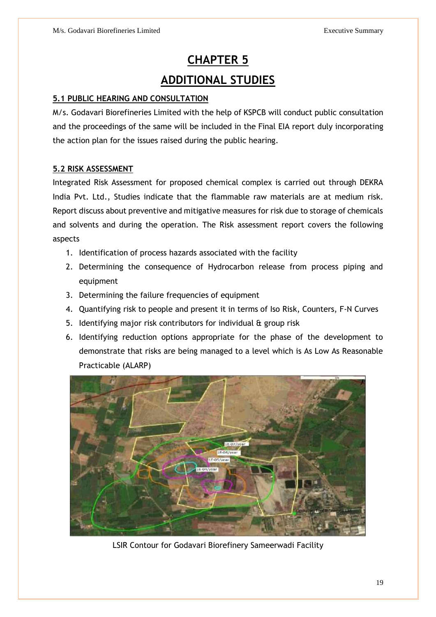# **CHAPTER 5 ADDITIONAL STUDIES**

### **5.1 PUBLIC HEARING AND CONSULTATION**

M/s. Godavari Biorefineries Limited with the help of KSPCB will conduct public consultation and the proceedings of the same will be included in the Final EIA report duly incorporating the action plan for the issues raised during the public hearing.

### **5.2 RISK ASSESSMENT**

Integrated Risk Assessment for proposed chemical complex is carried out through DEKRA India Pvt. Ltd., Studies indicate that the flammable raw materials are at medium risk. Report discuss about preventive and mitigative measures for risk due to storage of chemicals and solvents and during the operation. The Risk assessment report covers the following aspects

- 1. Identification of process hazards associated with the facility
- 2. Determining the consequence of Hydrocarbon release from process piping and equipment
- 3. Determining the failure frequencies of equipment
- 4. Quantifying risk to people and present it in terms of Iso Risk, Counters, F-N Curves
- 5. Identifying major risk contributors for individual & group risk
- 6. Identifying reduction options appropriate for the phase of the development to demonstrate that risks are being managed to a level which is As Low As Reasonable Practicable (ALARP)



LSIR Contour for Godavari Biorefinery Sameerwadi Facility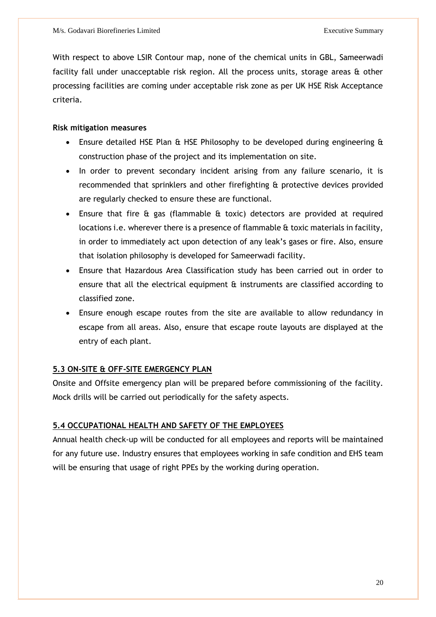With respect to above LSIR Contour map, none of the chemical units in GBL, Sameerwadi facility fall under unacceptable risk region. All the process units, storage areas & other processing facilities are coming under acceptable risk zone as per UK HSE Risk Acceptance criteria.

### **Risk mitigation measures**

- Ensure detailed HSE Plan & HSE Philosophy to be developed during engineering & construction phase of the project and its implementation on site.
- In order to prevent secondary incident arising from any failure scenario, it is recommended that sprinklers and other firefighting & protective devices provided are regularly checked to ensure these are functional.
- Ensure that fire & gas (flammable & toxic) detectors are provided at required locations i.e. wherever there is a presence of flammable & toxic materials in facility, in order to immediately act upon detection of any leak's gases or fire. Also, ensure that isolation philosophy is developed for Sameerwadi facility.
- Ensure that Hazardous Area Classification study has been carried out in order to ensure that all the electrical equipment & instruments are classified according to classified zone.
- Ensure enough escape routes from the site are available to allow redundancy in escape from all areas. Also, ensure that escape route layouts are displayed at the entry of each plant.

### **5.3 ON-SITE & OFF-SITE EMERGENCY PLAN**

Onsite and Offsite emergency plan will be prepared before commissioning of the facility. Mock drills will be carried out periodically for the safety aspects.

### **5.4 OCCUPATIONAL HEALTH AND SAFETY OF THE EMPLOYEES**

Annual health check-up will be conducted for all employees and reports will be maintained for any future use. Industry ensures that employees working in safe condition and EHS team will be ensuring that usage of right PPEs by the working during operation.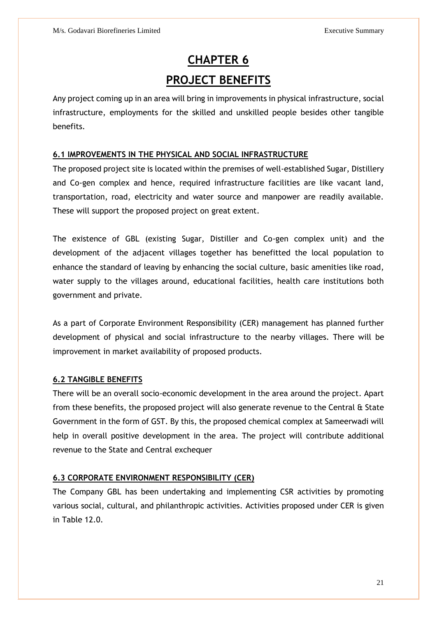# **CHAPTER 6 PROJECT BENEFITS**

Any project coming up in an area will bring in improvements in physical infrastructure, social infrastructure, employments for the skilled and unskilled people besides other tangible benefits.

### **6.1 IMPROVEMENTS IN THE PHYSICAL AND SOCIAL INFRASTRUCTURE**

The proposed project site is located within the premises of well-established Sugar, Distillery and Co-gen complex and hence, required infrastructure facilities are like vacant land, transportation, road, electricity and water source and manpower are readily available. These will support the proposed project on great extent.

The existence of GBL (existing Sugar, Distiller and Co-gen complex unit) and the development of the adjacent villages together has benefitted the local population to enhance the standard of leaving by enhancing the social culture, basic amenities like road, water supply to the villages around, educational facilities, health care institutions both government and private.

As a part of Corporate Environment Responsibility (CER) management has planned further development of physical and social infrastructure to the nearby villages. There will be improvement in market availability of proposed products.

### **6.2 TANGIBLE BENEFITS**

There will be an overall socio-economic development in the area around the project. Apart from these benefits, the proposed project will also generate revenue to the Central & State Government in the form of GST. By this, the proposed chemical complex at Sameerwadi will help in overall positive development in the area. The project will contribute additional revenue to the State and Central exchequer

### **6.3 CORPORATE ENVIRONMENT RESPONSIBILITY (CER)**

The Company GBL has been undertaking and implementing CSR activities by promoting various social, cultural, and philanthropic activities. Activities proposed under CER is given in Table 12.0.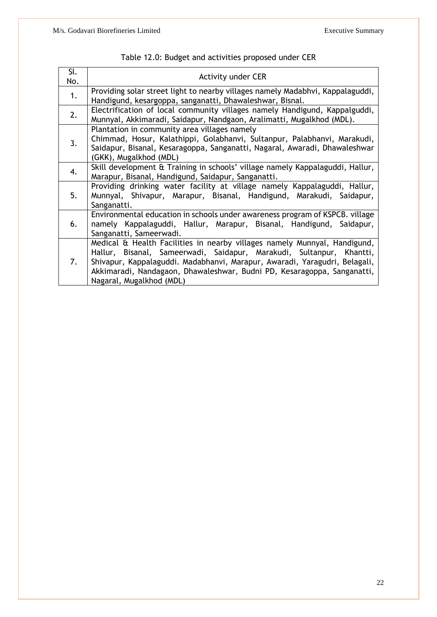| Sl.<br>No. | <b>Activity under CER</b>                                                                                                                                                                                                                                                                                                              |
|------------|----------------------------------------------------------------------------------------------------------------------------------------------------------------------------------------------------------------------------------------------------------------------------------------------------------------------------------------|
| 1.         | Providing solar street light to nearby villages namely Madabhvi, Kappalaguddi,<br>Handigund, kesargoppa, sanganatti, Dhawaleshwar, Bisnal.                                                                                                                                                                                             |
| 2.         | Electrification of local community villages namely Handigund, Kappalguddi,<br>Munnyal, Akkimaradi, Saidapur, Nandgaon, Aralimatti, Mugalkhod (MDL).                                                                                                                                                                                    |
| 3.         | Plantation in community area villages namely<br>Chimmad, Hosur, Kalathippi, Golabhanvi, Sultanpur, Palabhanvi, Marakudi,<br>Saidapur, Bisanal, Kesaragoppa, Sanganatti, Nagaral, Awaradi, Dhawaleshwar<br>(GKK), Mugalkhod (MDL)                                                                                                       |
| 4.         | Skill development & Training in schools' village namely Kappalaguddi, Hallur,<br>Marapur, Bisanal, Handigund, Saidapur, Sanganatti.                                                                                                                                                                                                    |
| 5.         | Providing drinking water facility at village namely Kappalaguddi, Hallur,<br>Munnyal, Shivapur, Marapur, Bisanal, Handigund, Marakudi, Saidapur,<br>Sanganatti.                                                                                                                                                                        |
| 6.         | Environmental education in schools under awareness program of KSPCB. village<br>namely Kappalaguddi, Hallur, Marapur, Bisanal, Handigund, Saidapur,<br>Sanganatti, Sameerwadi.                                                                                                                                                         |
| 7.         | Medical & Health Facilities in nearby villages namely Munnyal, Handigund,<br>Hallur, Bisanal, Sameerwadi, Saidapur, Marakudi, Sultanpur, Khantti,<br>Shivapur, Kappalaguddi. Madabhanvi, Marapur, Awaradi, Yaragudri, Belagali,<br>Akkimaradi, Nandagaon, Dhawaleshwar, Budni PD, Kesaragoppa, Sanganatti,<br>Nagaral, Mugalkhod (MDL) |

| Table 12.0: Budget and activities proposed under CER |  |  |
|------------------------------------------------------|--|--|
|------------------------------------------------------|--|--|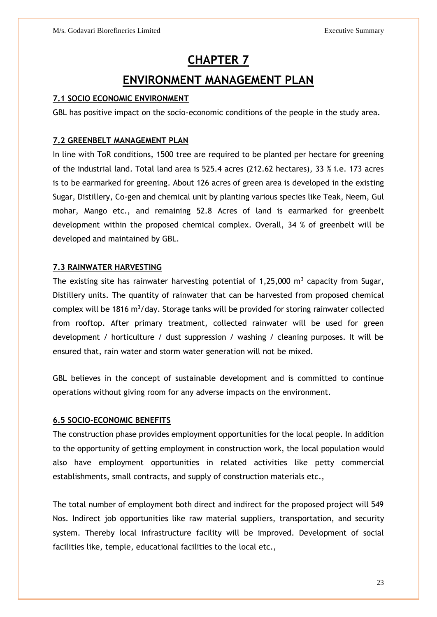### **CHAPTER 7**

### **ENVIRONMENT MANAGEMENT PLAN**

### **7.1 SOCIO ECONOMIC ENVIRONMENT**

GBL has positive impact on the socio-economic conditions of the people in the study area.

### **7.2 GREENBELT MANAGEMENT PLAN**

In line with ToR conditions, 1500 tree are required to be planted per hectare for greening of the industrial land. Total land area is 525.4 acres (212.62 hectares), 33 % i.e. 173 acres is to be earmarked for greening. About 126 acres of green area is developed in the existing Sugar, Distillery, Co-gen and chemical unit by planting various species like Teak, Neem, Gul mohar, Mango etc., and remaining 52.8 Acres of land is earmarked for greenbelt development within the proposed chemical complex. Overall, 34 % of greenbelt will be developed and maintained by GBL.

### **7.3 RAINWATER HARVESTING**

The existing site has rainwater harvesting potential of 1,25,000  $\mathrm{m}^3$  capacity from Sugar, Distillery units. The quantity of rainwater that can be harvested from proposed chemical complex will be 1816  $m^3$ /day. Storage tanks will be provided for storing rainwater collected from rooftop. After primary treatment, collected rainwater will be used for green development / horticulture / dust suppression / washing / cleaning purposes. It will be ensured that, rain water and storm water generation will not be mixed.

GBL believes in the concept of sustainable development and is committed to continue operations without giving room for any adverse impacts on the environment.

#### **6.5 SOCIO-ECONOMIC BENEFITS**

The construction phase provides employment opportunities for the local people. In addition to the opportunity of getting employment in construction work, the local population would also have employment opportunities in related activities like petty commercial establishments, small contracts, and supply of construction materials etc.,

The total number of employment both direct and indirect for the proposed project will 549 Nos. Indirect job opportunities like raw material suppliers, transportation, and security system. Thereby local infrastructure facility will be improved. Development of social facilities like, temple, educational facilities to the local etc.,